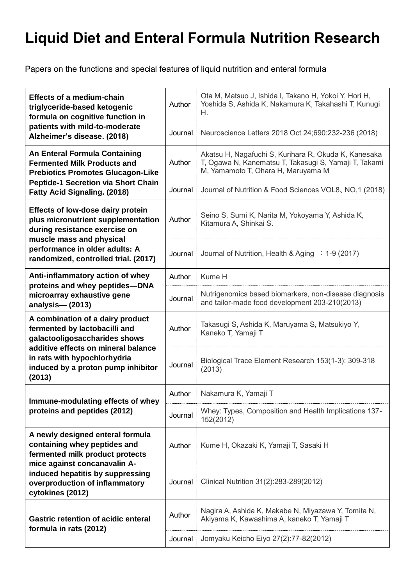## **Liquid Diet and Enteral Formula Nutrition Research**

Papers on the functions and special features of liquid nutrition and enteral formula

| <b>Effects of a medium-chain</b><br>triglyceride-based ketogenic<br>formula on cognitive function in<br>patients with mild-to-moderate<br>Alzheimer's disease. (2018)                                                         | Author  | Ota M, Matsuo J, Ishida I, Takano H, Yokoi Y, Hori H,<br>Yoshida S, Ashida K, Nakamura K, Takahashi T, Kunugi<br>Н.                                 |
|-------------------------------------------------------------------------------------------------------------------------------------------------------------------------------------------------------------------------------|---------|-----------------------------------------------------------------------------------------------------------------------------------------------------|
|                                                                                                                                                                                                                               | Journal | Neuroscience Letters 2018 Oct 24;690:232-236 (2018)                                                                                                 |
| An Enteral Formula Containing<br><b>Fermented Milk Products and</b><br><b>Prebiotics Promotes Glucagon-Like</b><br><b>Peptide-1 Secretion via Short Chain</b><br><b>Fatty Acid Signaling. (2018)</b>                          | Author  | Akatsu H, Nagafuchi S, Kurihara R, Okuda K, Kanesaka<br>T, Ogawa N, Kanematsu T, Takasugi S, Yamaji T, Takami<br>M, Yamamoto T, Ohara H, Maruyama M |
|                                                                                                                                                                                                                               | Journal | Journal of Nutrition & Food Sciences VOL8, NO,1 (2018)                                                                                              |
| <b>Effects of low-dose dairy protein</b><br>plus micronutrient supplementation<br>during resistance exercise on<br>muscle mass and physical<br>performance in older adults: A<br>randomized, controlled trial. (2017)         | Author  | Seino S, Sumi K, Narita M, Yokoyama Y, Ashida K,<br>Kitamura A, Shinkai S.                                                                          |
|                                                                                                                                                                                                                               | Journal | Journal of Nutrition, Health & Aging : 1-9 (2017)                                                                                                   |
| Anti-inflammatory action of whey<br>proteins and whey peptides-DNA<br>microarray exhaustive gene<br>analysis-(2013)                                                                                                           | Author  | Kume H                                                                                                                                              |
|                                                                                                                                                                                                                               | Journal | Nutrigenomics based biomarkers, non-disease diagnosis<br>and tailor-made food development 203-210(2013)                                             |
| A combination of a dairy product<br>fermented by lactobacilli and<br>galactooligosaccharides shows<br>additive effects on mineral balance<br>in rats with hypochlorhydria<br>induced by a proton pump inhibitor<br>(2013)     | Author  | Takasugi S, Ashida K, Maruyama S, Matsukiyo Y,<br>Kaneko T, Yamaji T                                                                                |
|                                                                                                                                                                                                                               | Journal | Biological Trace Element Research 153(1-3): 309-318<br>(2013)                                                                                       |
| Immune-modulating effects of whey<br>proteins and peptides (2012)                                                                                                                                                             | Author  | Nakamura K, Yamaji T                                                                                                                                |
|                                                                                                                                                                                                                               | Journal | Whey: Types, Composition and Health Implications 137-<br>152(2012)                                                                                  |
| A newly designed enteral formula<br>containing whey peptides and<br>fermented milk product protects<br>mice against concanavalin A-<br>induced hepatitis by suppressing<br>overproduction of inflammatory<br>cytokines (2012) | Author  | Kume H, Okazaki K, Yamaji T, Sasaki H                                                                                                               |
|                                                                                                                                                                                                                               | Journal | Clinical Nutrition 31(2):283-289(2012)                                                                                                              |
| <b>Gastric retention of acidic enteral</b><br>formula in rats (2012)                                                                                                                                                          | Author  | Nagira A, Ashida K, Makabe N, Miyazawa Y, Tomita N,<br>Akiyama K, Kawashima A, kaneko T, Yamaji T                                                   |
|                                                                                                                                                                                                                               | Journal | Jomyaku Keicho Eiyo 27(2):77-82(2012)                                                                                                               |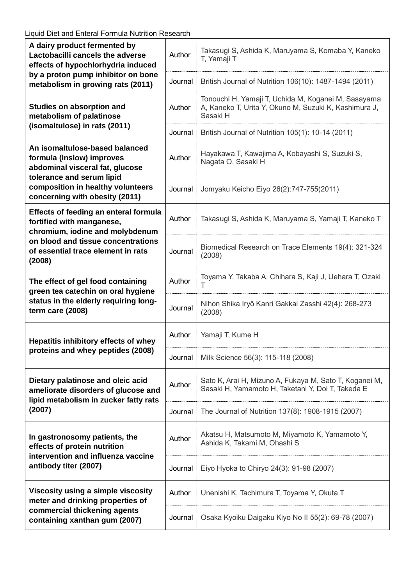| A dairy product fermented by<br>Lactobacilli cancels the adverse<br>effects of hypochlorhydria induced<br>by a proton pump inhibitor on bone<br>metabolism in growing rats (2011)                  | Author  | Takasugi S, Ashida K, Maruyama S, Komaba Y, Kaneko<br>T, Yamaji T                                                        |
|----------------------------------------------------------------------------------------------------------------------------------------------------------------------------------------------------|---------|--------------------------------------------------------------------------------------------------------------------------|
|                                                                                                                                                                                                    | Journal | British Journal of Nutrition 106(10): 1487-1494 (2011)                                                                   |
| <b>Studies on absorption and</b><br>metabolism of palatinose<br>(isomaltulose) in rats (2011)                                                                                                      | Author  | Tonouchi H, Yamaji T, Uchida M, Koganei M, Sasayama<br>A, Kaneko T, Urita Y, Okuno M, Suzuki K, Kashimura J,<br>Sasaki H |
|                                                                                                                                                                                                    | Journal | British Journal of Nutrition 105(1): 10-14 (2011)                                                                        |
| An isomaltulose-based balanced<br>formula (Inslow) improves<br>abdominal visceral fat, glucose<br>tolerance and serum lipid<br>composition in healthy volunteers<br>concerning with obesity (2011) | Author  | Hayakawa T, Kawajima A, Kobayashi S, Suzuki S,<br>Nagata O, Sasaki H                                                     |
|                                                                                                                                                                                                    | Journal | Jomyaku Keicho Eiyo 26(2):747-755(2011)                                                                                  |
| <b>Effects of feeding an enteral formula</b><br>fortified with manganese,<br>chromium, iodine and molybdenum<br>on blood and tissue concentrations<br>of essential trace element in rats<br>(2008) | Author  | Takasugi S, Ashida K, Maruyama S, Yamaji T, Kaneko T                                                                     |
|                                                                                                                                                                                                    | Journal | Biomedical Research on Trace Elements 19(4): 321-324<br>(2008)                                                           |
| The effect of gel food containing<br>green tea catechin on oral hygiene<br>status in the elderly requiring long-<br>term care (2008)                                                               | Author  | Toyama Y, Takaba A, Chihara S, Kaji J, Uehara T, Ozaki<br>$\top$                                                         |
|                                                                                                                                                                                                    | Journal | Nihon Shika Iryō Kanri Gakkai Zasshi 42(4): 268-273<br>(2008)                                                            |
| Hepatitis inhibitory effects of whey<br>proteins and whey peptides (2008)                                                                                                                          | Author  | Yamaji T, Kume H                                                                                                         |
|                                                                                                                                                                                                    | Journal | Milk Science 56(3): 115-118 (2008)                                                                                       |
| Dietary palatinose and oleic acid<br>ameliorate disorders of glucose and<br>lipid metabolism in zucker fatty rats<br>(2007)                                                                        | Author  | Sato K, Arai H, Mizuno A, Fukaya M, Sato T, Koganei M,<br>Sasaki H, Yamamoto H, Taketani Y, Doi T, Takeda E              |
|                                                                                                                                                                                                    | Journal | The Journal of Nutrition 137(8): 1908-1915 (2007)                                                                        |
| In gastronosomy patients, the<br>effects of protein nutrition<br>intervention and influenza vaccine<br>antibody titer (2007)                                                                       | Author  | Akatsu H, Matsumoto M, Miyamoto K, Yamamoto Y,<br>Ashida K, Takami M, Ohashi S                                           |
|                                                                                                                                                                                                    | Journal | Eiyo Hyoka to Chiryo 24(3): 91-98 (2007)                                                                                 |
| Viscosity using a simple viscosity<br>meter and drinking properties of<br>commercial thickening agents<br>containing xanthan gum (2007)                                                            | Author  | Unenishi K, Tachimura T, Toyama Y, Okuta T                                                                               |
|                                                                                                                                                                                                    | Journal | Osaka Kyoiku Daigaku Kiyo No II 55(2): 69-78 (2007)                                                                      |